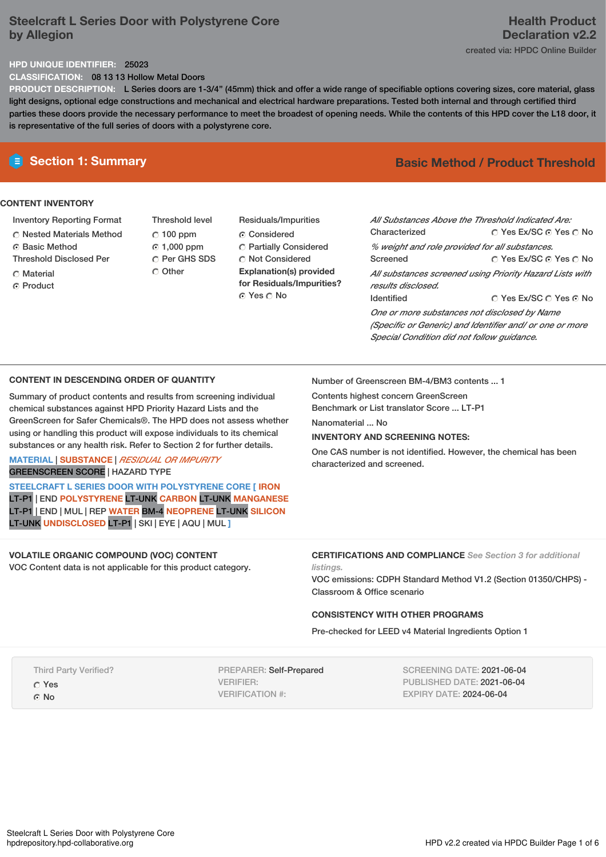# **Steelcraft L Series Door with Polystyrene Core by Allegion**

# **Health Product Declaration v2.2**

created via: HPDC Online Builder

# **HPD UNIQUE IDENTIFIER:** 25023

**CLASSIFICATION:** 08 13 13 Hollow Metal Doors

**PRODUCT DESCRIPTION:** L Series doors are 1-3/4" (45mm) thick and offer a wide range of specifiable options covering sizes, core material, glass light designs, optional edge constructions and mechanical and electrical hardware preparations. Tested both internal and through certified third parties these doors provide the necessary performance to meet the broadest of opening needs. While the contents of this HPD cover the L18 door, it is representative of the full series of doors with a polystyrene core.

## **CONTENT INVENTORY**

- Inventory Reporting Format
- Nested Materials Method
- **C** Basic Method
- Threshold Disclosed Per
- Material
- ⊙ Product
- Threshold level  $C$  100 ppm 1,000 ppm C Per GHS SDS C Other
- Residuals/Impurities Considered Partially Considered Not Considered **Explanation(s) provided for Residuals/Impurities?** © Yes ∩ No

# **E** Section 1: Summary **Basic** Method **/** Product Threshold

| All Substances Above the Threshold Indicated Are:        |                        |  |  |
|----------------------------------------------------------|------------------------|--|--|
| Characterized                                            | ○ Yes Ex/SC ⊙ Yes ○ No |  |  |
| % weight and role provided for all substances.           |                        |  |  |
| Screened                                                 | ○ Yes Ex/SC ⊙ Yes ○ No |  |  |
| All substances screened using Priority Hazard Lists with |                        |  |  |
| results disclosed.                                       |                        |  |  |
| <b>Identified</b>                                        | ∩ Yes Ex/SC ∩ Yes ∩ No |  |  |
| One or more substances not disclosed by Name             |                        |  |  |
| (Specific or Generic) and Identifier and/ or one or more |                        |  |  |
| Special Condition did not follow quidance.               |                        |  |  |

## **CONTENT IN DESCENDING ORDER OF QUANTITY**

Summary of product contents and results from screening individual chemical substances against HPD Priority Hazard Lists and the GreenScreen for Safer Chemicals®. The HPD does not assess whether using or handling this product will expose individuals to its chemical substances or any health risk. Refer to Section 2 for further details.

## **MATERIAL** | **SUBSTANCE** | *RESIDUAL OR IMPURITY* GREENSCREEN SCORE | HAZARD TYPE

**STEELCRAFT L SERIES DOOR WITH POLYSTYRENE CORE [ IRON** LT-P1 | END **POLYSTYRENE** LT-UNK **CARBON** LT-UNK **MANGANESE** LT-P1 | END | MUL | REP **WATER** BM-4 **NEOPRENE** LT-UNK **SILICON** LT-UNK **UNDISCLOSED** LT-P1 | SKI | EYE | AQU | MUL **]**

**VOLATILE ORGANIC COMPOUND (VOC) CONTENT**

VOC Content data is not applicable for this product category.

Number of Greenscreen BM-4/BM3 contents ... 1

Contents highest concern GreenScreen Benchmark or List translator Score ... LT-P1

Nanomaterial ... No

## **INVENTORY AND SCREENING NOTES:**

One CAS number is not identified. However, the chemical has been characterized and screened.

## **CERTIFICATIONS AND COMPLIANCE** *See Section 3 for additional listings.*

VOC emissions: CDPH Standard Method V1.2 (Section 01350/CHPS) - Classroom & Office scenario

## **CONSISTENCY WITH OTHER PROGRAMS**

Pre-checked for LEED v4 Material Ingredients Option 1

Third Party Verified?

Yes

G No

PREPARER: Self-Prepared VERIFIER: VERIFICATION #:

SCREENING DATE: 2021-06-04 PUBLISHED DATE: 2021-06-04 EXPIRY DATE: 2024-06-04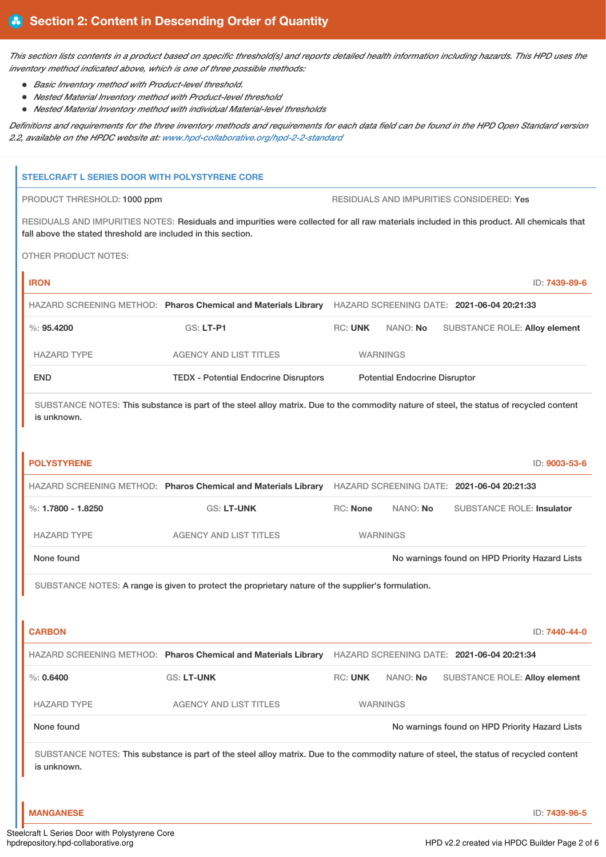This section lists contents in a product based on specific threshold(s) and reports detailed health information including hazards. This HPD uses the *inventory method indicated above, which is one of three possible methods:*

- *Basic Inventory method with Product-level threshold.*
- *Nested Material Inventory method with Product-level threshold*
- *Nested Material Inventory method with individual Material-level thresholds*

Definitions and requirements for the three inventory methods and requirements for each data field can be found in the HPD Open Standard version *2.2, available on the HPDC website at: [www.hpd-collaborative.org/hpd-2-2-standard](https://www.hpd-collaborative.org/hpd-2-2-standard)*

# **STEELCRAFT L SERIES DOOR WITH POLYSTYRENE CORE** PRODUCT THRESHOLD: 1000 ppm RESIDUALS AND IMPURITIES CONSIDERED: Yes RESIDUALS AND IMPURITIES NOTES: Residuals and impurities were collected for all raw materials included in this product. All chemicals that fall above the stated threshold are included in this section. OTHER PRODUCT NOTES:

**IRON** ID: **7439-89-6** HAZARD SCREENING METHOD: **Pharos Chemical and Materials Library** HAZARD SCREENING DATE: **2021-06-04 20:21:33** %: **95.4200** GS: **LT-P1** RC: **UNK** NANO: **No** SUBSTANCE ROLE: **Alloy element** HAZARD TYPE AGENCY AND LIST TITLES WARNINGS END TEDX - Potential Endocrine Disruptors Potential Endocrine Disruptor

SUBSTANCE NOTES: This substance is part of the steel alloy matrix. Due to the commodity nature of steel, the status of recycled content is unknown.

| <b>POLYSTYRENE</b>                                                                                                                      |                                                                |                                            |          | ID: 9003-53-6                                  |
|-----------------------------------------------------------------------------------------------------------------------------------------|----------------------------------------------------------------|--------------------------------------------|----------|------------------------------------------------|
|                                                                                                                                         | HAZARD SCREENING METHOD: Pharos Chemical and Materials Library | HAZARD SCREENING DATE: 2021-06-04 20:21:33 |          |                                                |
| %: $1.7800 - 1.8250$                                                                                                                    | <b>GS: LT-UNK</b>                                              | <b>RC: None</b>                            | NANO: No | <b>SUBSTANCE ROLE: Insulator</b>               |
| <b>HAZARD TYPE</b>                                                                                                                      | <b>AGENCY AND LIST TITLES</b>                                  | <b>WARNINGS</b>                            |          |                                                |
| None found                                                                                                                              |                                                                |                                            |          | No warnings found on HPD Priority Hazard Lists |
| SUBSTANCE NOTES: A range is given to protect the proprietary nature of the supplier's formulation.                                      |                                                                |                                            |          |                                                |
|                                                                                                                                         |                                                                |                                            |          |                                                |
| <b>CARBON</b>                                                                                                                           |                                                                |                                            |          | ID: 7440-44-0                                  |
|                                                                                                                                         | HAZARD SCREENING METHOD: Pharos Chemical and Materials Library |                                            |          | HAZARD SCREENING DATE: 2021-06-04 20:21:34     |
| $\%: 0.6400$                                                                                                                            | <b>GS: LT-UNK</b>                                              | <b>RC: UNK</b>                             | NANO: No | <b>SUBSTANCE ROLE: Alloy element</b>           |
| <b>HAZARD TYPE</b>                                                                                                                      | <b>AGENCY AND LIST TITLES</b>                                  | <b>WARNINGS</b>                            |          |                                                |
| None found                                                                                                                              |                                                                |                                            |          | No warnings found on HPD Priority Hazard Lists |
| SUBSTANCE NOTES: This substance is part of the steel alloy matrix. Due to the commodity nature of steel, the status of recycled content |                                                                |                                            |          |                                                |

is unknown.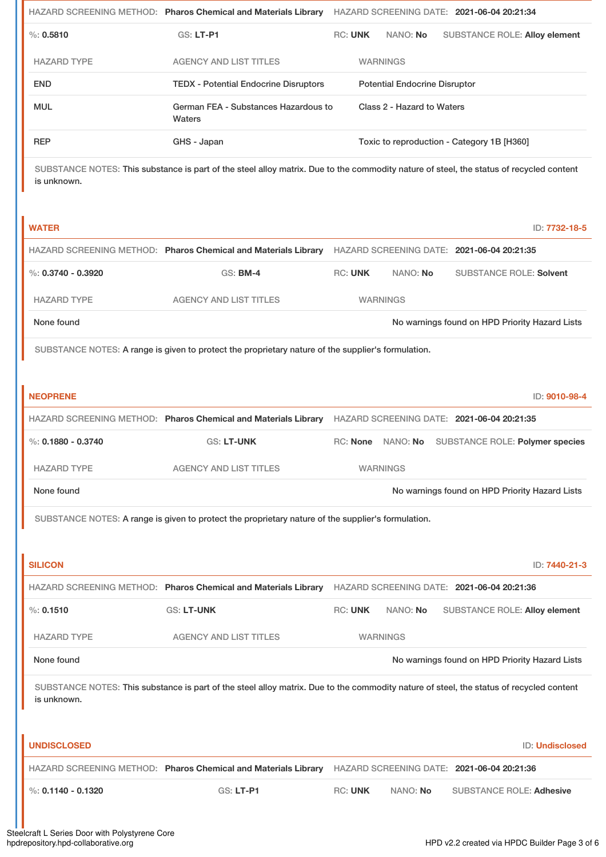|                                                                                                                                                        | HAZARD SCREENING METHOD: Pharos Chemical and Materials Library                                     | HAZARD SCREENING DATE: 2021-06-04 20:21:34                                                                                                                               |  |  |  |
|--------------------------------------------------------------------------------------------------------------------------------------------------------|----------------------------------------------------------------------------------------------------|--------------------------------------------------------------------------------------------------------------------------------------------------------------------------|--|--|--|
| $\%: 0.5810$                                                                                                                                           | GS: LT-P1                                                                                          | <b>RC: UNK</b><br>NANO: No<br><b>SUBSTANCE ROLE: Alloy element</b>                                                                                                       |  |  |  |
| <b>HAZARD TYPE</b>                                                                                                                                     | <b>AGENCY AND LIST TITLES</b>                                                                      | <b>WARNINGS</b>                                                                                                                                                          |  |  |  |
| <b>END</b>                                                                                                                                             | <b>TEDX - Potential Endocrine Disruptors</b>                                                       | <b>Potential Endocrine Disruptor</b>                                                                                                                                     |  |  |  |
| <b>MUL</b>                                                                                                                                             | German FEA - Substances Hazardous to<br>Waters                                                     | Class 2 - Hazard to Waters                                                                                                                                               |  |  |  |
| <b>REP</b>                                                                                                                                             | GHS - Japan                                                                                        | Toxic to reproduction - Category 1B [H360]                                                                                                                               |  |  |  |
| SUBSTANCE NOTES: This substance is part of the steel alloy matrix. Due to the commodity nature of steel, the status of recycled content<br>is unknown. |                                                                                                    |                                                                                                                                                                          |  |  |  |
| <b>WATER</b>                                                                                                                                           |                                                                                                    | ID: 7732-18-5                                                                                                                                                            |  |  |  |
|                                                                                                                                                        |                                                                                                    | HAZARD SCREENING METHOD: Pharos Chemical and Materials Library HAZARD SCREENING DATE: 2021-06-04 20:21:35                                                                |  |  |  |
| %: $0.3740 - 0.3920$                                                                                                                                   | <b>GS: BM-4</b>                                                                                    | <b>RC: UNK</b><br>NANO: No<br><b>SUBSTANCE ROLE: Solvent</b>                                                                                                             |  |  |  |
| <b>HAZARD TYPE</b>                                                                                                                                     | <b>AGENCY AND LIST TITLES</b>                                                                      | <b>WARNINGS</b>                                                                                                                                                          |  |  |  |
| None found                                                                                                                                             |                                                                                                    | No warnings found on HPD Priority Hazard Lists                                                                                                                           |  |  |  |
| SUBSTANCE NOTES: A range is given to protect the proprietary nature of the supplier's formulation.                                                     |                                                                                                    |                                                                                                                                                                          |  |  |  |
| <b>NEOPRENE</b>                                                                                                                                        |                                                                                                    | ID: 9010-98-4                                                                                                                                                            |  |  |  |
|                                                                                                                                                        | HAZARD SCREENING METHOD: Pharos Chemical and Materials Library                                     | HAZARD SCREENING DATE: 2021-06-04 20:21:35                                                                                                                               |  |  |  |
| %: $0.1880 - 0.3740$                                                                                                                                   |                                                                                                    |                                                                                                                                                                          |  |  |  |
|                                                                                                                                                        | GS: LT-UNK                                                                                         | RC: None NANO: No SUBSTANCE ROLE: Polymer species                                                                                                                        |  |  |  |
| <b>HAZARD TYPE</b>                                                                                                                                     | <b>AGENCY AND LIST TITLES</b>                                                                      | <b>WARNINGS</b>                                                                                                                                                          |  |  |  |
| None found                                                                                                                                             |                                                                                                    | No warnings found on HPD Priority Hazard Lists                                                                                                                           |  |  |  |
|                                                                                                                                                        | SUBSTANCE NOTES: A range is given to protect the proprietary nature of the supplier's formulation. |                                                                                                                                                                          |  |  |  |
|                                                                                                                                                        |                                                                                                    |                                                                                                                                                                          |  |  |  |
| <b>SILICON</b>                                                                                                                                         |                                                                                                    | ID: 7440-21-3                                                                                                                                                            |  |  |  |
| %: 0.1510                                                                                                                                              | <b>GS: LT-UNK</b>                                                                                  | HAZARD SCREENING METHOD: Pharos Chemical and Materials Library HAZARD SCREENING DATE: 2021-06-04 20:21:36<br><b>RC: UNK</b><br>NANO: No<br>SUBSTANCE ROLE: Alloy element |  |  |  |
| <b>HAZARD TYPE</b>                                                                                                                                     | <b>AGENCY AND LIST TITLES</b>                                                                      | <b>WARNINGS</b>                                                                                                                                                          |  |  |  |
| None found                                                                                                                                             |                                                                                                    | No warnings found on HPD Priority Hazard Lists                                                                                                                           |  |  |  |
| is unknown.                                                                                                                                            |                                                                                                    | SUBSTANCE NOTES: This substance is part of the steel alloy matrix. Due to the commodity nature of steel, the status of recycled content                                  |  |  |  |
| <b>UNDISCLOSED</b>                                                                                                                                     |                                                                                                    | ID: Undisclosed                                                                                                                                                          |  |  |  |
|                                                                                                                                                        | HAZARD SCREENING METHOD: Pharos Chemical and Materials Library                                     | HAZARD SCREENING DATE: 2021-06-04 20:21:36                                                                                                                               |  |  |  |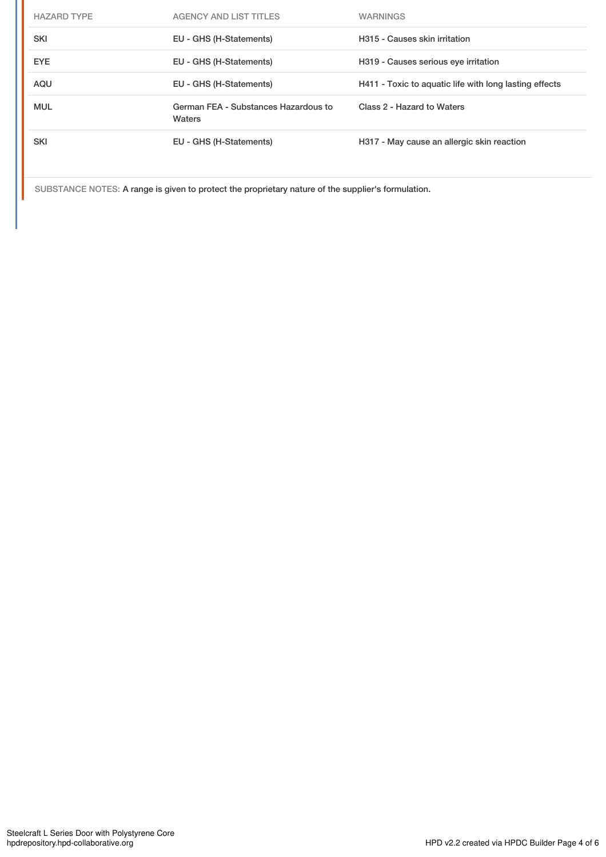| <b>HAZARD TYPE</b> | <b>AGENCY AND LIST TITLES</b>                  | <b>WARNINGS</b>                                        |
|--------------------|------------------------------------------------|--------------------------------------------------------|
| <b>SKI</b>         | EU - GHS (H-Statements)                        | H315 - Causes skin irritation                          |
| <b>EYE</b>         | EU - GHS (H-Statements)                        | H319 - Causes serious eye irritation                   |
| AQU                | EU - GHS (H-Statements)                        | H411 - Toxic to aquatic life with long lasting effects |
| <b>MUL</b>         | German FEA - Substances Hazardous to<br>Waters | Class 2 - Hazard to Waters                             |
| <b>SKI</b>         | EU - GHS (H-Statements)                        | H317 - May cause an allergic skin reaction             |

SUBSTANCE NOTES: A range is given to protect the proprietary nature of the supplier's formulation.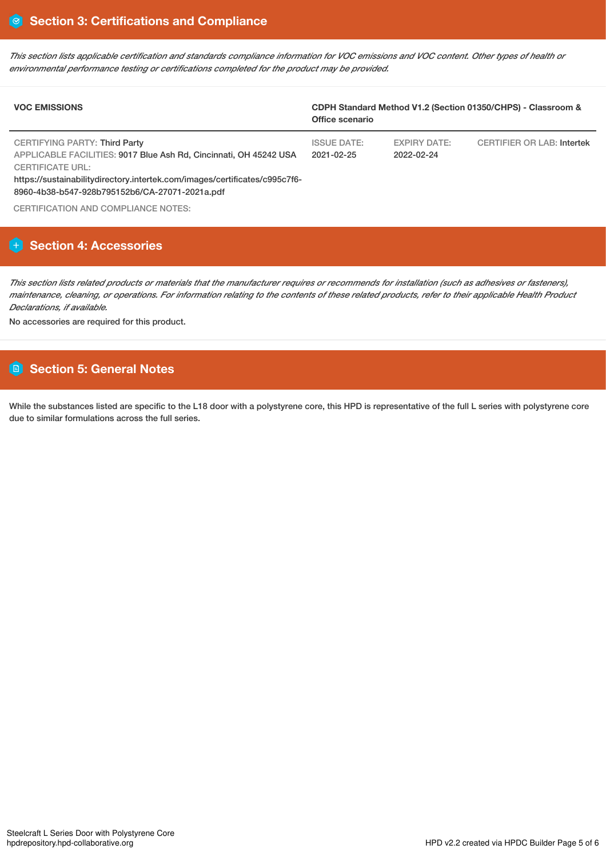This section lists applicable certification and standards compliance information for VOC emissions and VOC content. Other types of health or *environmental performance testing or certifications completed for the product may be provided.*

| <b>VOC EMISSIONS</b>                                                                                                                                                                                                                                          | CDPH Standard Method V1.2 (Section 01350/CHPS) - Classroom &<br>Office scenario |                            |                            |
|---------------------------------------------------------------------------------------------------------------------------------------------------------------------------------------------------------------------------------------------------------------|---------------------------------------------------------------------------------|----------------------------|----------------------------|
| CERTIFYING PARTY: Third Party<br>APPLICABLE FACILITIES: 9017 Blue Ash Rd, Cincinnati, OH 45242 USA<br><b>CERTIFICATE URL:</b><br>https://sustainabilitydirectory.intertek.com/images/certificates/c995c7f6-<br>8960-4b38-b547-928b795152b6/CA-27071-2021a.pdf | <b>ISSUE DATE:</b><br>$2021 - 02 - 25$                                          | EXPIRY DATE:<br>2022-02-24 | CERTIFIER OR LAB: Intertek |
| CERTIFICATION AND COMPLIANCE NOTES:                                                                                                                                                                                                                           |                                                                                 |                            |                            |

# **Section 4: Accessories**

This section lists related products or materials that the manufacturer requires or recommends for installation (such as adhesives or fasteners), maintenance, cleaning, or operations. For information relating to the contents of these related products, refer to their applicable Health Product *Declarations, if available.*

No accessories are required for this product.

# **Section 5: General Notes**

While the substances listed are specific to the L18 door with a polystyrene core, this HPD is representative of the full L series with polystyrene core due to similar formulations across the full series.